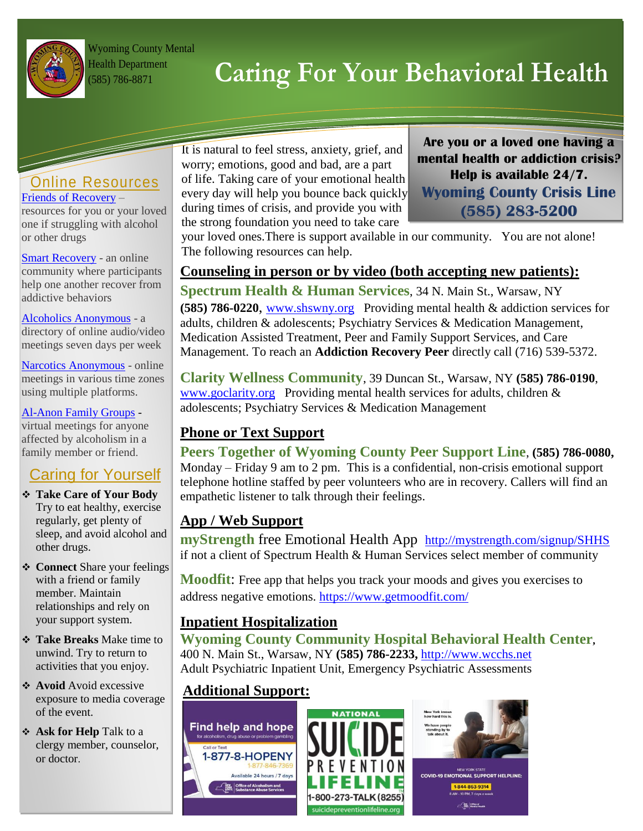

Wyoming County Mental Health Department

# (585) 786-8871 **Caring For Your Behavioral Health**

#### Online Resources [Friends of Recovery](https://for-ny.org/get-help/) –

resources for you or your loved one if struggling with alcohol or other drugs

[Smart Recovery](https://www.smartrecovery.org/smart-recovery-toolbox/smart-recovery-online/) - an online community where participants help one another recover from addictive behaviors

#### [Alcoholics Anonymous](http://aa-intergroup.org/directory.php) - a directory of online audio/video meetings seven days per week

[Narcotics Anonymous](https://www.na.org/meetingsearch/) - online meetings in various time zones using multiple platforms.

#### [Al-Anon Family Groups](https://al-anon.org/al-anon-meetings/electronic-meetings/) -

virtual meetings for anyone affected by alcoholism in a family member or friend.

## Caring for Yourself

- **Take Care of Your Body** Try to eat healthy, exercise regularly, get plenty of sleep, and avoid alcohol and other drugs.
- **❖ Connect** Share your feelings with a friend or family member. Maintain relationships and rely on your support system.
- **Take Breaks** Make time to unwind. Try to return to activities that you enjoy.
- **Avoid** Avoid excessive exposure to media coverage of the event.
- **Ask for Help** Talk to a clergy member, counselor, or doctor.

It is natural to feel stress, anxiety, grief, and worry; emotions, good and bad, are a part of life. Taking care of your emotional health every day will help you bounce back quickly during times of crisis, and provide you with the strong foundation you need to take care

**Are you or a loved one having a mental health or addiction crisis? Help is available 24/7. Wyoming County Crisis Line (585) 283-5200**

your loved ones.There is support available in our community. You are not alone! The following resources can help.

### **Counseling in person or by video (both accepting new patients):**

**Spectrum Health & Human Services**, 34 N. Main St., Warsaw, NY **(585) 786-0220**, [www.shswny.org](http://www.shswny.org/) Providing mental health & addiction services for adults, children & adolescents; Psychiatry Services & Medication Management, Medication Assisted Treatment, Peer and Family Support Services, and Care Management. To reach an **Addiction Recovery Peer** directly call (716) 539-5372.

**Clarity Wellness Community**, 39 Duncan St., Warsaw, NY **(585) 786-0190**, [www.goclarity.org](http://www.goclarity.org/) Providing mental health services for adults, children & adolescents; Psychiatry Services & Medication Management

#### **Phone or Text Support**

**Peers Together of Wyoming County Peer Support Line**, **(585) 786-0080,**  Monday – Friday 9 am to 2 pm. This is a confidential, non-crisis emotional support telephone hotline staffed by peer volunteers who are in recovery. Callers will find an empathetic listener to talk through their feelings.

#### **App / Web Support**

**myStrength** free Emotional Health App <http://mystrength.com/signup/SHHS> if not a client of Spectrum Health & Human Services select member of community

**Moodfit:** Free app that helps you track your moods and gives you exercises to address negative emotions.<https://www.getmoodfit.com/>

#### **Inpatient Hospitalization**

**Wyoming County Community Hospital Behavioral Health Center,**  400 N. Main St., Warsaw, NY **(585) 786-2233,** [http://www.wcchs.net](http://www.wcchs.net/) Adult Psychiatric Inpatient Unit, Emergency Psychiatric Assessments

### **Additional Support:**







COVID-19 EMOTIONAL SUPPORT HELPLINE: 1-844-863-9314<br>8 AM - 10 PM, 7 days a week  $\frac{1}{\sqrt{2}}$  office of